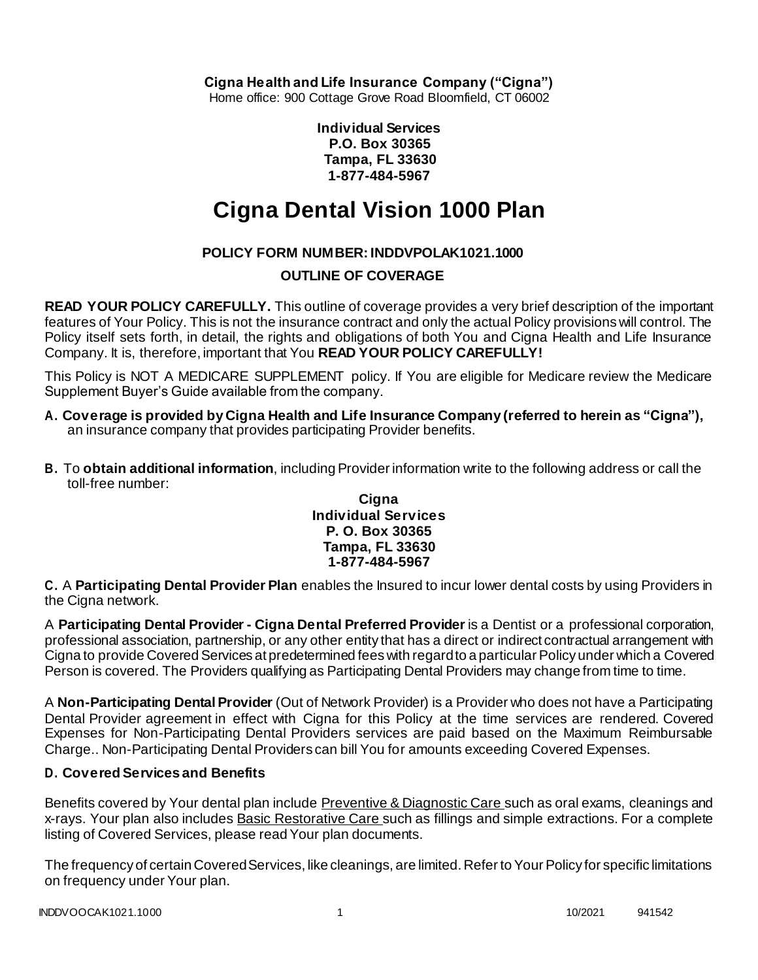**Cigna Health and Life Insurance Company ("Cigna")**

Home office: 900 Cottage Grove Road Bloomfield, CT 06002

**Individual Services P.O. Box 30365 Tampa, FL 33630 1-877-484-5967**

# **Cigna Dental Vision 1000 Plan**

# **POLICY FORM NUMBER: INDDVPOLAK1021.1000**

# **OUTLINE OF COVERAGE**

**READ YOUR POLICY CAREFULLY.** This outline of coverage provides a very brief description of the important features of Your Policy. This is not the insurance contract and only the actual Policy provisions will control. The Policy itself sets forth, in detail, the rights and obligations of both You and Cigna Health and Life Insurance Company. It is, therefore, important that You **READ YOUR POLICY CAREFULLY!**

This Policy is NOT A MEDICARE SUPPLEMENT policy. If You are eligible for Medicare review the Medicare Supplement Buyer's Guide available from the company.

- **A. Coverage is provided by Cigna Health and Life Insurance Company (referred to herein as "Cigna"),** an insurance company that provides participating Provider benefits.
- **B.** To **obtain additional information**, including Provider information write to the following address or call the toll-free number:

#### **Cigna Individual Services P. O. Box 30365 Tampa, FL 33630 1-877-484-5967**

**C.** A **Participating Dental Provider Plan** enables the Insured to incur lower dental costs by using Providers in the Cigna network.

A **Participating Dental Provider - Cigna Dental Preferred Provider** is a Dentist or a professional corporation, professional association, partnership, or any other entity that has a direct or indirect contractual arrangement with Cigna to provide Covered Services at predetermined fees with regard to a particular Policy under which a Covered Person is covered. The Providers qualifying as Participating Dental Providers may change from time to time.

A **Non-Participating Dental Provider** (Out of Network Provider) is a Provider who does not have a Participating Dental Provider agreement in effect with Cigna for this Policy at the time services are rendered. Covered Expenses for Non-Participating Dental Providers services are paid based on the Maximum Reimbursable Charge.. Non-Participating Dental Providers can bill You for amounts exceeding Covered Expenses.

# **D. Covered Services and Benefits**

Benefits covered by Your dental plan include Preventive & Diagnostic Care such as oral exams, cleanings and x-rays. Your plan also includes Basic Restorative Care such as fillings and simple extractions. For a complete listing of Covered Services, please read Your plan documents.

The frequency of certain Covered Services, like cleanings, are limited. Refer to Your Policy for specific limitations on frequency under Your plan.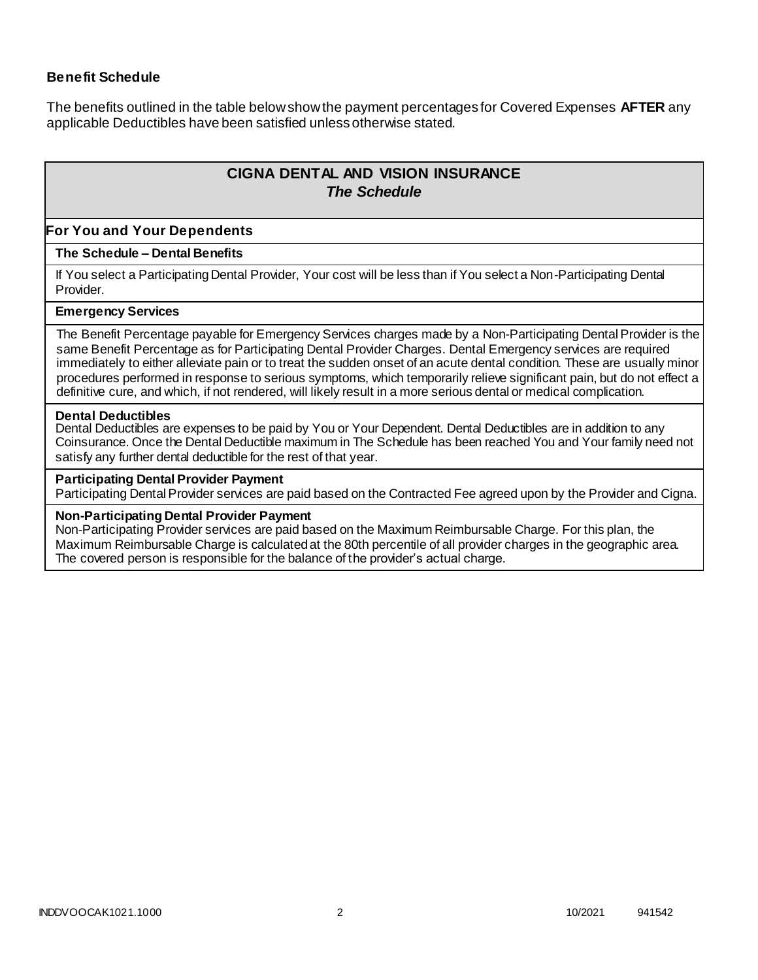## **Benefit Schedule**

The benefits outlined in the table below show the payment percentages for Covered Expenses **AFTER** any applicable Deductibles have been satisfied unless otherwise stated.

# **CIGNA DENTAL AND VISION INSURANCE** *The Schedule*

#### **For You and Your Dependents**

#### **The Schedule – Dental Benefits**

If You select a Participating Dental Provider, Your cost will be less than if You select a Non-Participating Dental Provider.

#### **Emergency Services**

The Benefit Percentage payable for Emergency Services charges made by a Non-Participating Dental Provider is the same Benefit Percentage as for Participating Dental Provider Charges. Dental Emergency services are required immediately to either alleviate pain or to treat the sudden onset of an acute dental condition. These are usually minor procedures performed in response to serious symptoms, which temporarily relieve significant pain, but do not effect a definitive cure, and which, if not rendered, will likely result in a more serious dental or medical complication.

#### **Dental Deductibles**

Dental Deductibles are expenses to be paid by You or Your Dependent. Dental Deductibles are in addition to any Coinsurance. Once the Dental Deductible maximum in The Schedule has been reached You and Your family need not satisfy any further dental deductible for the rest of that year.

#### **Participating Dental Provider Payment**

Participating Dental Provider services are paid based on the Contracted Fee agreed upon by the Provider and Cigna.

#### **Non-Participating Dental Provider Payment**

Non-Participating Provider services are paid based on the Maximum Reimbursable Charge. For this plan, the Maximum Reimbursable Charge is calculated at the 80th percentile of all provider charges in the geographic area. The covered person is responsible for the balance of the provider's actual charge.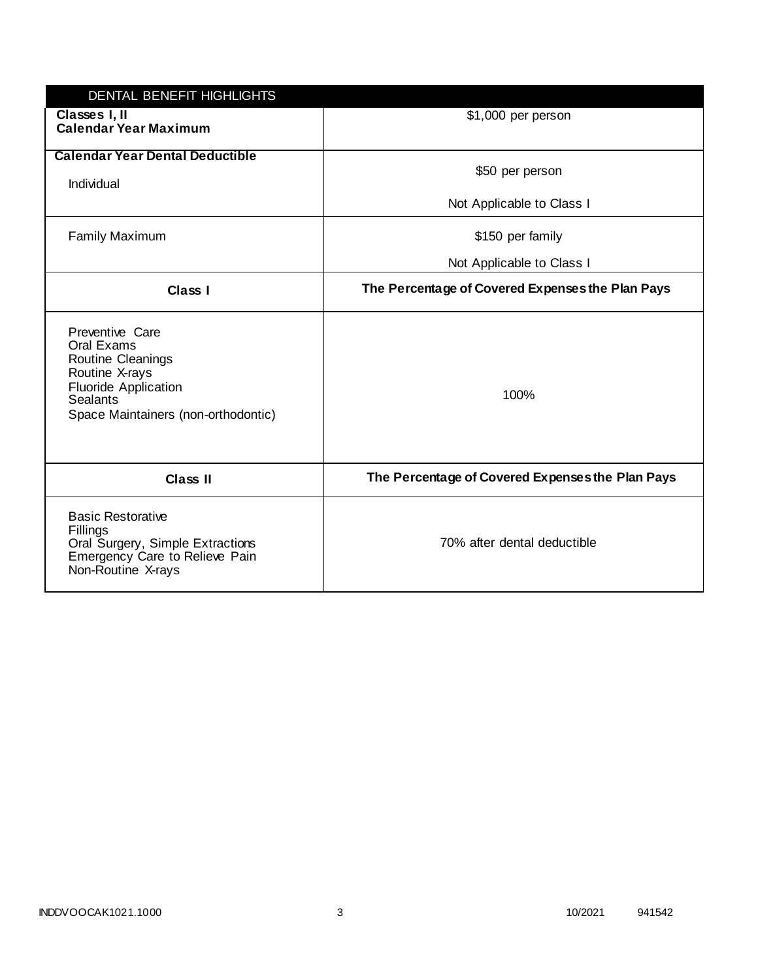| DENTAL BENEFIT HIGHLIGHTS                                                                                                                                            |                                                  |
|----------------------------------------------------------------------------------------------------------------------------------------------------------------------|--------------------------------------------------|
| Classes I, II<br><b>Calendar Year Maximum</b>                                                                                                                        | \$1,000 per person                               |
| <b>Calendar Year Dental Deductible</b><br>Individual                                                                                                                 | \$50 per person                                  |
|                                                                                                                                                                      | Not Applicable to Class I                        |
| <b>Family Maximum</b>                                                                                                                                                | \$150 per family                                 |
|                                                                                                                                                                      | Not Applicable to Class I                        |
| Class I                                                                                                                                                              | The Percentage of Covered Expenses the Plan Pays |
| Preventive Care<br>Oral Exams<br><b>Routine Cleanings</b><br>Routine X-rays<br><b>Fluoride Application</b><br><b>Sealants</b><br>Space Maintainers (non-orthodontic) | 100%                                             |
| Class II                                                                                                                                                             | The Percentage of Covered Expenses the Plan Pays |
| <b>Basic Restorative</b><br>Fillings<br>Oral Surgery, Simple Extractions<br>Emergency Care to Relieve Pain<br>Non-Routine X-rays                                     | 70% after dental deductible                      |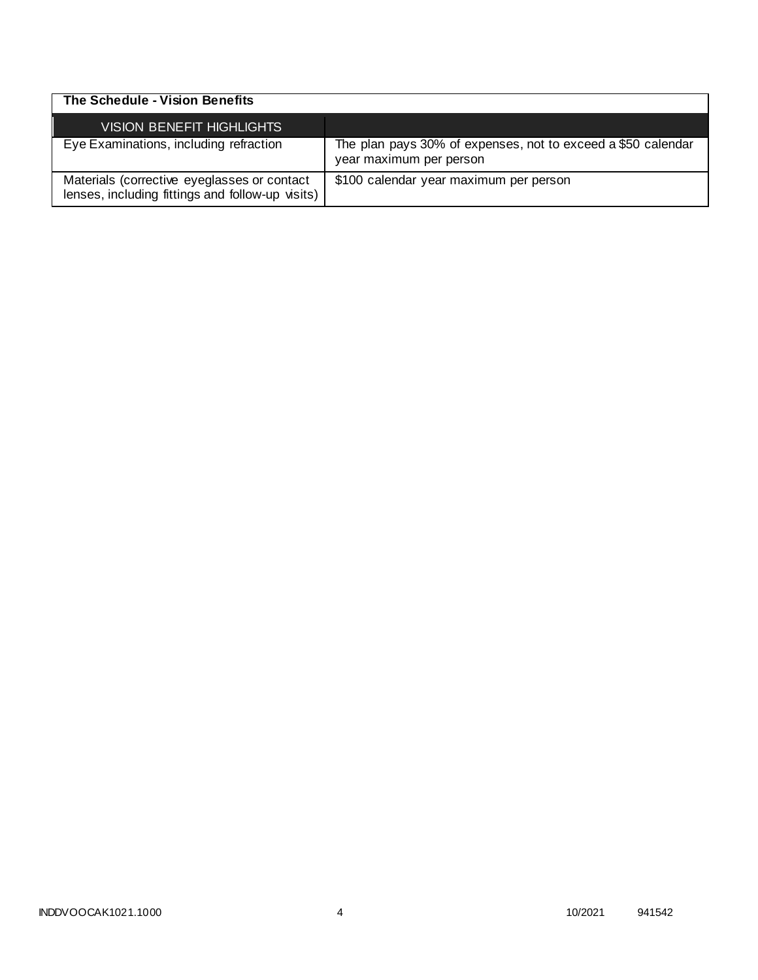| The Schedule - Vision Benefits                                                                  |                                                                                         |
|-------------------------------------------------------------------------------------------------|-----------------------------------------------------------------------------------------|
| <b>VISION BENEFIT HIGHLIGHTS</b>                                                                |                                                                                         |
| Eye Examinations, including refraction                                                          | The plan pays 30% of expenses, not to exceed a \$50 calendar<br>year maximum per person |
| Materials (corrective eyeglasses or contact<br>lenses, including fittings and follow-up visits) | \$100 calendar year maximum per person                                                  |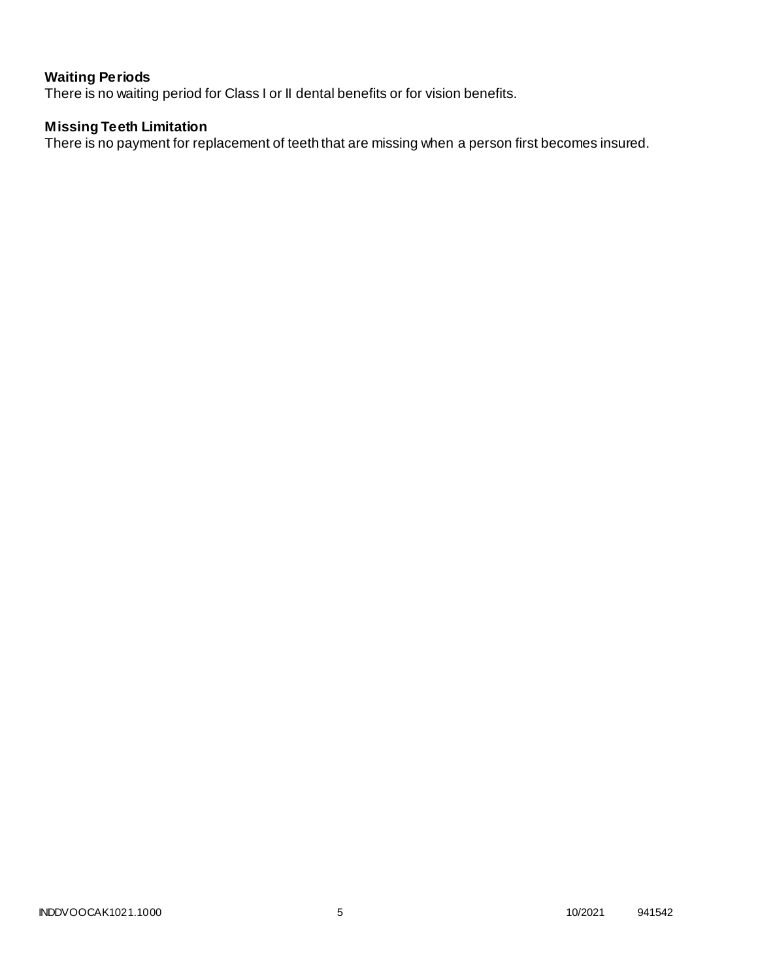# **Waiting Periods**

There is no waiting period for Class I or II dental benefits or for vision benefits.

# **Missing Teeth Limitation**

There is no payment for replacement of teeth that are missing when a person first becomes insured.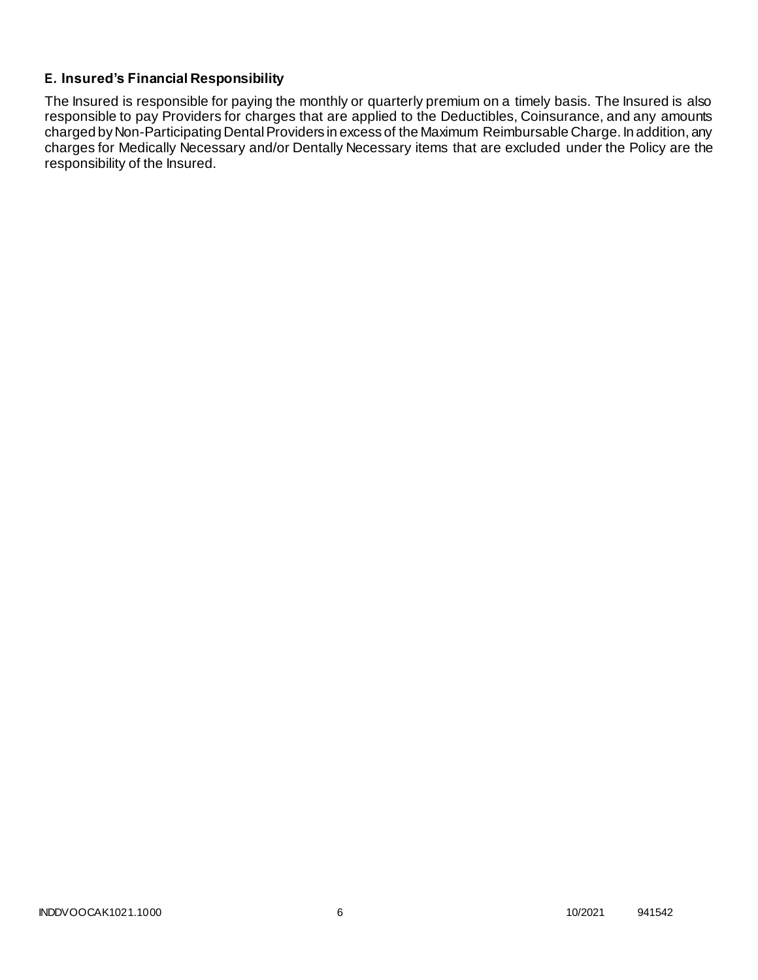# **E. Insured's Financial Responsibility**

The Insured is responsible for paying the monthly or quarterly premium on a timely basis. The Insured is also responsible to pay Providers for charges that are applied to the Deductibles, Coinsurance, and any amounts charged by Non-Participating Dental Providers in excess of the Maximum Reimbursable Charge. In addition, any charges for Medically Necessary and/or Dentally Necessary items that are excluded under the Policy are the responsibility of the Insured.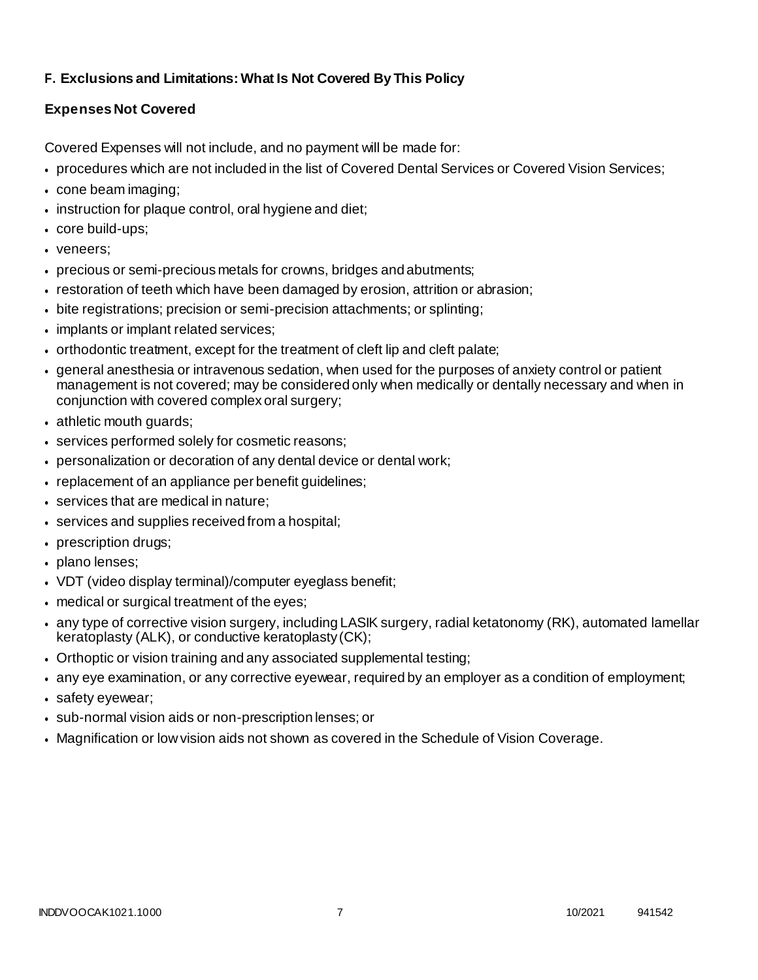# **F. Exclusions and Limitations: What Is Not Covered By This Policy**

# **Expenses Not Covered**

Covered Expenses will not include, and no payment will be made for:

- procedures which are not included in the list of Covered Dental Services or Covered Vision Services;
- cone beam imaging;
- instruction for plaque control, oral hygiene and diet;
- core build-ups;
- veneers:
- precious or semi-precious metals for crowns, bridges andabutments;
- restoration of teeth which have been damaged by erosion, attrition or abrasion;
- bite registrations; precision or semi-precision attachments; or splinting;
- implants or implant related services:
- orthodontic treatment, except for the treatment of cleft lip and cleft palate;
- general anesthesia or intravenous sedation, when used for the purposes of anxiety control or patient management is not covered; may be considered only when medically or dentally necessary and when in conjunction with covered complex oral surgery;
- athletic mouth guards;
- services performed solely for cosmetic reasons;
- personalization or decoration of any dental device or dental work;
- replacement of an appliance per benefit quidelines;
- services that are medical in nature;
- services and supplies received from a hospital;
- prescription drugs;
- plano lenses;
- VDT (video display terminal)/computer eyeglass benefit;
- medical or surgical treatment of the eyes;
- any type of corrective vision surgery, including LASIK surgery, radial ketatonomy (RK), automated lamellar keratoplasty (ALK), or conductive keratoplasty(CK);
- Orthoptic or vision training and any associated supplemental testing;
- any eye examination, or any corrective eyewear, required by an employer as a condition of employment;
- safety eyewear;
- sub-normal vision aids or non-prescription lenses; or
- Magnification or low vision aids not shown as covered in the Schedule of Vision Coverage.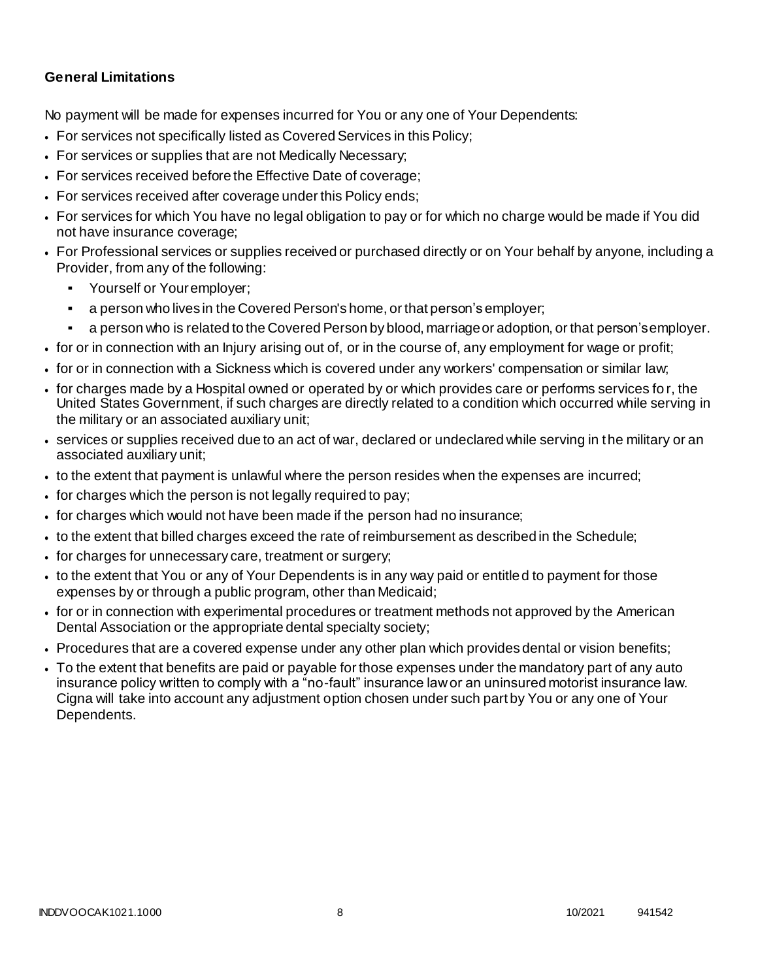# **General Limitations**

No payment will be made for expenses incurred for You or any one of Your Dependents:

- For services not specifically listed as Covered Services in this Policy;
- For services or supplies that are not Medically Necessary;
- For services received before the Effective Date of coverage;
- For services received after coverage under this Policy ends;
- For services for which You have no legal obligation to pay or for which no charge would be made if You did not have insurance coverage;
- For Professional services or supplies received or purchased directly or on Your behalf by anyone, including a Provider, from any of the following:
	- Yourself or Youremployer;
	- a person who lives in the Covered Person's home, or that person's employer;
	- a person who is related to the Covered Person by blood, marriage or adoption, or that person's employer.
- for or in connection with an Injury arising out of, or in the course of, any employment for wage or profit;
- for or in connection with a Sickness which is covered under any workers' compensation or similar law;
- for charges made by a Hospital owned or operated by or which provides care or performs services fo r, the United States Government, if such charges are directly related to a condition which occurred while serving in the military or an associated auxiliary unit;
- services or supplies received due to an act of war, declared or undeclared while serving in the military or an associated auxiliary unit;
- to the extent that payment is unlawful where the person resides when the expenses are incurred;
- for charges which the person is not legally required to pay;
- for charges which would not have been made if the person had no insurance;
- to the extent that billed charges exceed the rate of reimbursement as described in the Schedule;
- for charges for unnecessary care, treatment or surgery;
- to the extent that You or any of Your Dependents is in any way paid or entitled to payment for those expenses by or through a public program, other than Medicaid;
- for or in connection with experimental procedures or treatment methods not approved by the American Dental Association or the appropriate dental specialty society;
- Procedures that are a covered expense under any other plan which provides dental or vision benefits;
- To the extent that benefits are paid or payable for those expenses under the mandatory part of any auto insurance policy written to comply with a "no-fault" insurance law or an uninsured motorist insurance law. Cigna will take into account any adjustment option chosen under such part by You or any one of Your Dependents.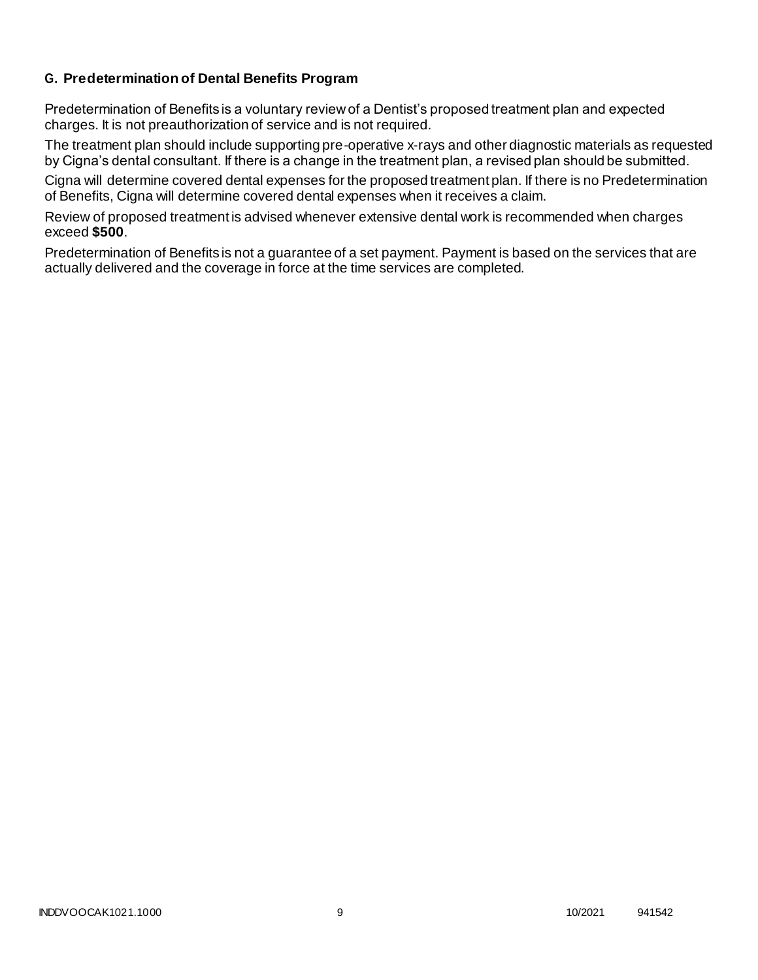# **G. Predetermination of Dental Benefits Program**

Predetermination of Benefits is a voluntary review of a Dentist's proposed treatment plan and expected charges. It is not preauthorization of service and is not required.

The treatment plan should include supporting pre-operative x-rays and other diagnostic materials as requested by Cigna's dental consultant. If there is a change in the treatment plan, a revised plan should be submitted.

Cigna will determine covered dental expenses for the proposed treatment plan. If there is no Predetermination of Benefits, Cigna will determine covered dental expenses when it receives a claim.

Review of proposed treatment is advised whenever extensive dental work is recommended when charges exceed **\$500**.

Predetermination of Benefits is not a guarantee of a set payment. Payment is based on the services that are actually delivered and the coverage in force at the time services are completed.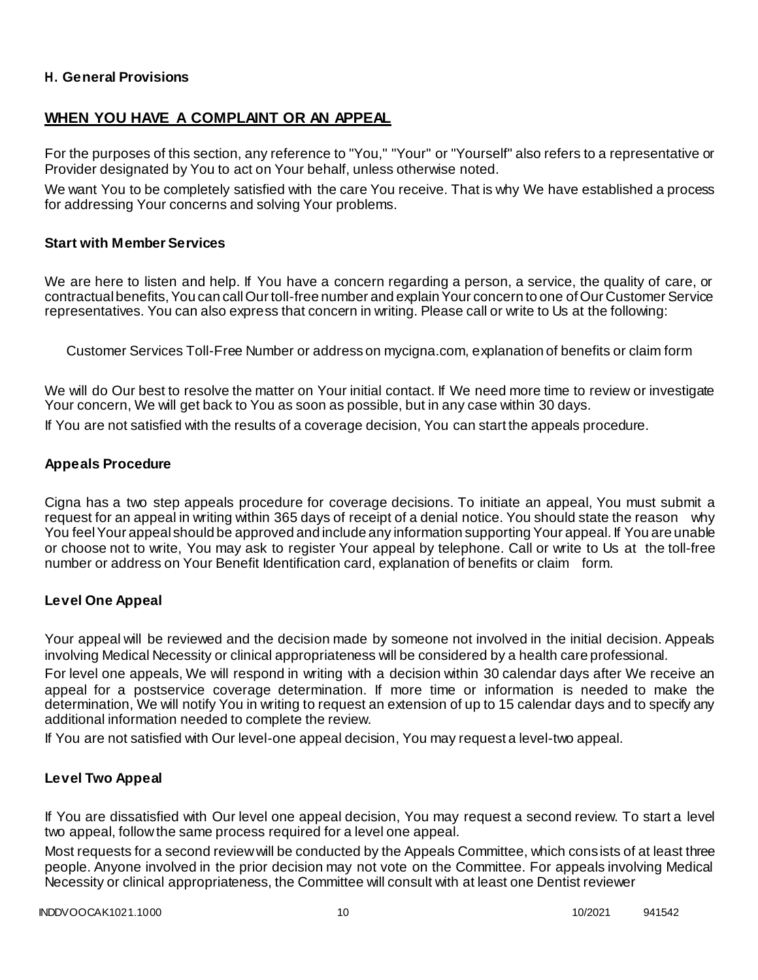## **H. General Provisions**

# **WHEN YOU HAVE A COMPLAINT OR AN APPEAL**

For the purposes of this section, any reference to "You," "Your" or "Yourself" also refers to a representative or Provider designated by You to act on Your behalf, unless otherwise noted.

We want You to be completely satisfied with the care You receive. That is why We have established a process for addressing Your concerns and solving Your problems.

#### **Start with Member Services**

We are here to listen and help. If You have a concern regarding a person, a service, the quality of care, or contractual benefits, You can call Our toll-free number and explain Your concern to one of Our Customer Service representatives. You can also express that concern in writing. Please call or write to Us at the following:

Customer Services Toll-Free Number or address on mycigna.com, explanation of benefits or claim form

We will do Our best to resolve the matter on Your initial contact. If We need more time to review or investigate Your concern, We will get back to You as soon as possible, but in any case within 30 days.

If You are not satisfied with the results of a coverage decision, You can start the appeals procedure.

## **Appeals Procedure**

Cigna has a two step appeals procedure for coverage decisions. To initiate an appeal, You must submit a request for an appeal in writing within 365 days of receipt of a denial notice. You should state the reason why You feel Your appeal should be approved and include any information supporting Your appeal. If You are unable or choose not to write, You may ask to register Your appeal by telephone. Call or write to Us at the toll-free number or address on Your Benefit Identification card, explanation of benefits or claim form.

## **Level One Appeal**

Your appeal will be reviewed and the decision made by someone not involved in the initial decision. Appeals involving Medical Necessity or clinical appropriateness will be considered by a health care professional.

For level one appeals, We will respond in writing with a decision within 30 calendar days after We receive an appeal for a postservice coverage determination. If more time or information is needed to make the determination, We will notify You in writing to request an extension of up to 15 calendar days and to specify any additional information needed to complete the review.

If You are not satisfied with Our level-one appeal decision, You may request a level-two appeal.

## **Level Two Appeal**

If You are dissatisfied with Our level one appeal decision, You may request a second review. To start a level two appeal, follow the same process required for a level one appeal.

Most requests for a second review will be conducted by the Appeals Committee, which consists of at least three people. Anyone involved in the prior decision may not vote on the Committee. For appeals involving Medical Necessity or clinical appropriateness, the Committee will consult with at least one Dentist reviewer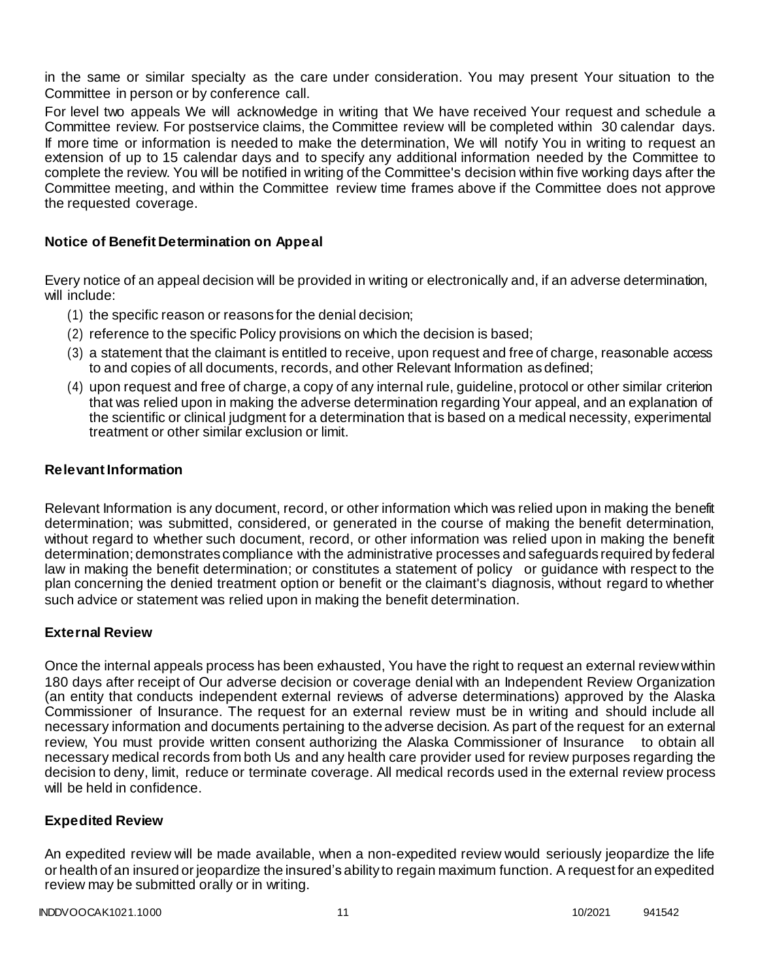in the same or similar specialty as the care under consideration. You may present Your situation to the Committee in person or by conference call.

For level two appeals We will acknowledge in writing that We have received Your request and schedule a Committee review. For postservice claims, the Committee review will be completed within 30 calendar days. If more time or information is needed to make the determination, We will notify You in writing to request an extension of up to 15 calendar days and to specify any additional information needed by the Committee to complete the review. You will be notified in writing of the Committee's decision within five working days after the Committee meeting, and within the Committee review time frames above if the Committee does not approve the requested coverage.

## **Notice of Benefit Determination on Appeal**

Every notice of an appeal decision will be provided in writing or electronically and, if an adverse determination, will include:

- (1) the specific reason or reasons for the denial decision;
- (2) reference to the specific Policy provisions on which the decision is based;
- (3) a statement that the claimant is entitled to receive, upon request and free of charge, reasonable access to and copies of all documents, records, and other Relevant Information as defined;
- (4) upon request and free of charge, a copy of any internal rule, guideline, protocol or other similar criterion that was relied upon in making the adverse determination regarding Your appeal, and an explanation of the scientific or clinical judgment for a determination that is based on a medical necessity, experimental treatment or other similar exclusion or limit.

## **Relevant Information**

Relevant Information is any document, record, or other information which was relied upon in making the benefit determination; was submitted, considered, or generated in the course of making the benefit determination, without regard to whether such document, record, or other information was relied upon in making the benefit determination; demonstrates compliance with the administrative processes and safeguards required by federal law in making the benefit determination; or constitutes a statement of policy or guidance with respect to the plan concerning the denied treatment option or benefit or the claimant's diagnosis, without regard to whether such advice or statement was relied upon in making the benefit determination.

## **External Review**

Once the internal appeals process has been exhausted, You have the right to request an external review within 180 days after receipt of Our adverse decision or coverage denial with an Independent Review Organization (an entity that conducts independent external reviews of adverse determinations) approved by the Alaska Commissioner of Insurance. The request for an external review must be in writing and should include all necessary information and documents pertaining to the adverse decision. As part of the request for an external review, You must provide written consent authorizing the Alaska Commissioner of Insurance to obtain all necessary medical records from both Us and any health care provider used for review purposes regarding the decision to deny, limit, reduce or terminate coverage. All medical records used in the external review process will be held in confidence.

#### **Expedited Review**

An expedited review will be made available, when a non-expedited review would seriously jeopardize the life or health of an insured or jeopardize the insured's ability to regain maximum function. A request for an expedited review may be submitted orally or in writing.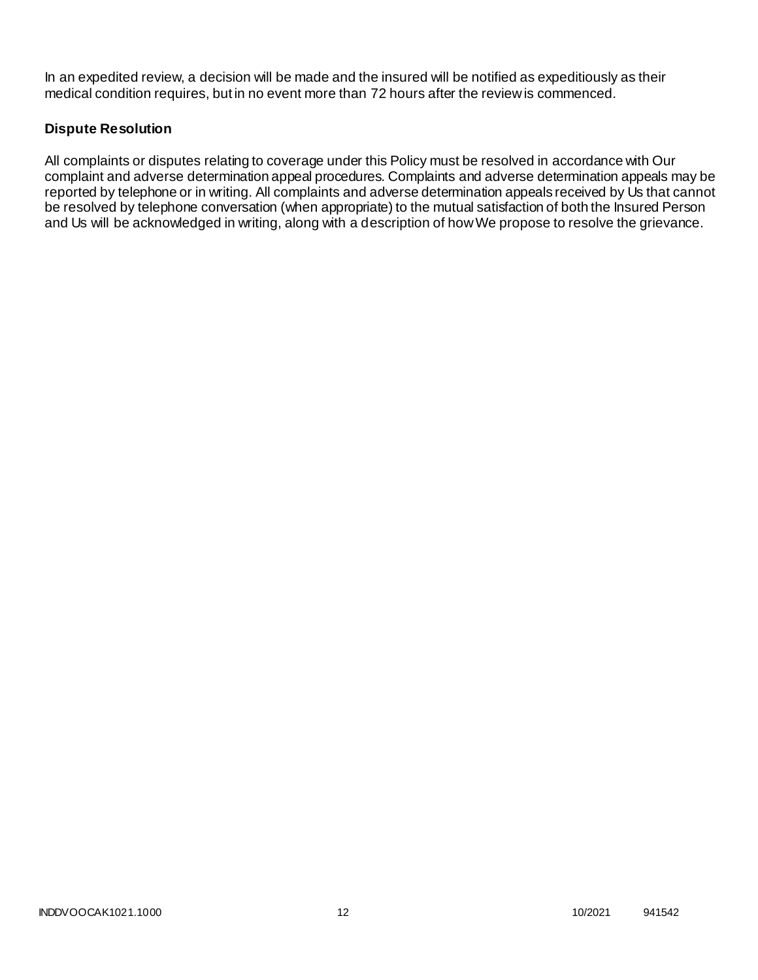In an expedited review, a decision will be made and the insured will be notified as expeditiously as their medical condition requires, but in no event more than 72 hours after the review is commenced.

# **Dispute Resolution**

All complaints or disputes relating to coverage under this Policy must be resolved in accordance with Our complaint and adverse determination appeal procedures. Complaints and adverse determination appeals may be reported by telephone or in writing. All complaints and adverse determination appeals received by Us that cannot be resolved by telephone conversation (when appropriate) to the mutual satisfaction of both the Insured Person and Us will be acknowledged in writing, along with a description of how We propose to resolve the grievance.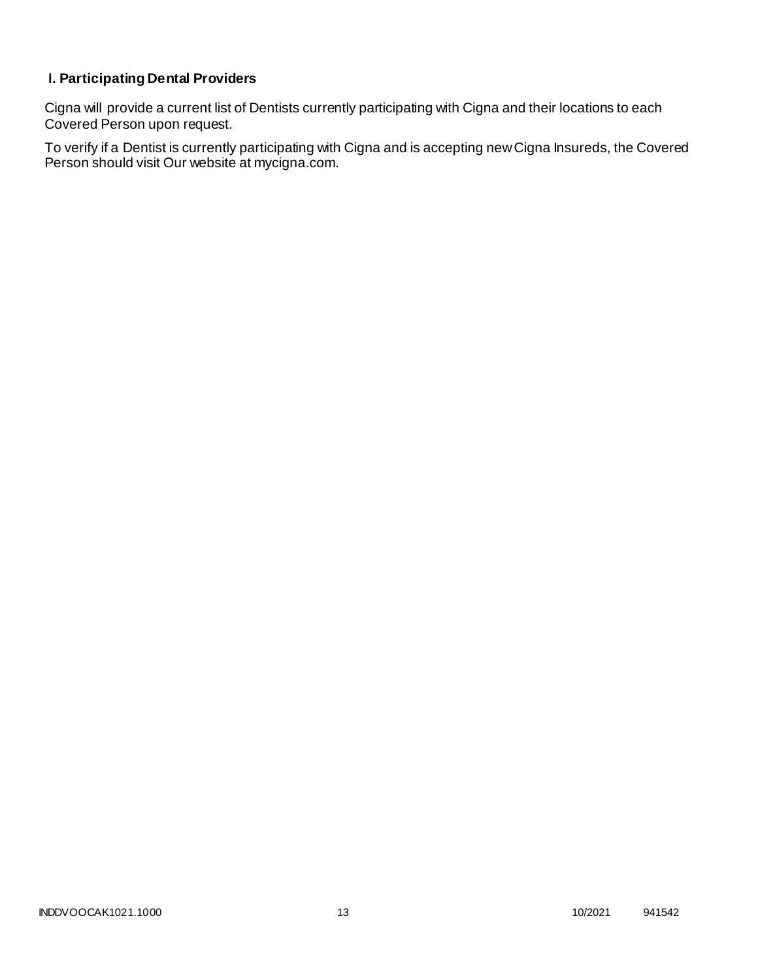# **I. Participating Dental Providers**

Cigna will provide a current list of Dentists currently participating with Cigna and their locations to each Covered Person upon request.

To verify if a Dentist is currently participating with Cigna and is accepting new Cigna Insureds, the Covered Person should visit Our website at mycigna.com.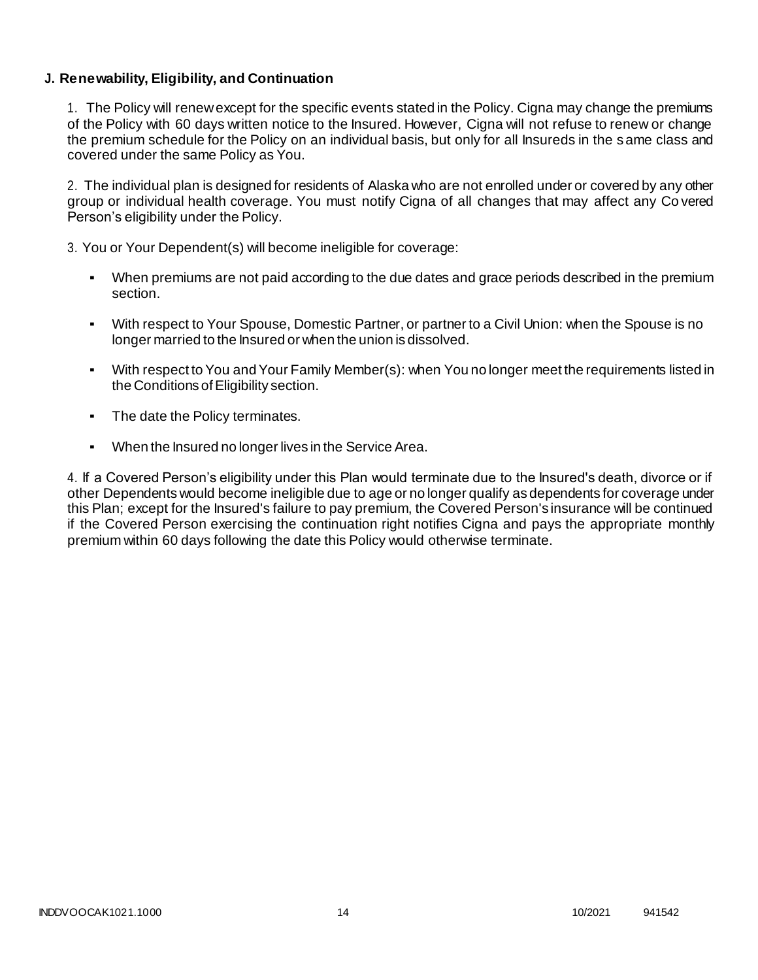# **J. Renewability, Eligibility, and Continuation**

1. The Policy will renew except for the specific events stated in the Policy. Cigna may change the premiums of the Policy with 60 days written notice to the Insured. However, Cigna will not refuse to renew or change the premium schedule for the Policy on an individual basis, but only for all Insureds in the same class and covered under the same Policy as You.

2. The individual plan is designed for residents of Alaska who are not enrolled under or covered by any other group or individual health coverage. You must notify Cigna of all changes that may affect any Co vered Person's eligibility under the Policy.

3. You or Your Dependent(s) will become ineligible for coverage:

- When premiums are not paid according to the due dates and grace periods described in the premium section.
- With respect to Your Spouse, Domestic Partner, or partner to a Civil Union: when the Spouse is no longer married to the Insured or when the union is dissolved.
- With respect to You and Your Family Member(s): when You no longer meet the requirements listed in the Conditions of Eligibility section.
- The date the Policy terminates.
- When the Insured no longer lives in the Service Area.

4. If a Covered Person's eligibility under this Plan would terminate due to the Insured's death, divorce or if other Dependents would become ineligible due to age or no longer qualify as dependents for coverage under this Plan; except for the Insured's failure to pay premium, the Covered Person's insurance will be continued if the Covered Person exercising the continuation right notifies Cigna and pays the appropriate monthly premium within 60 days following the date this Policy would otherwise terminate.